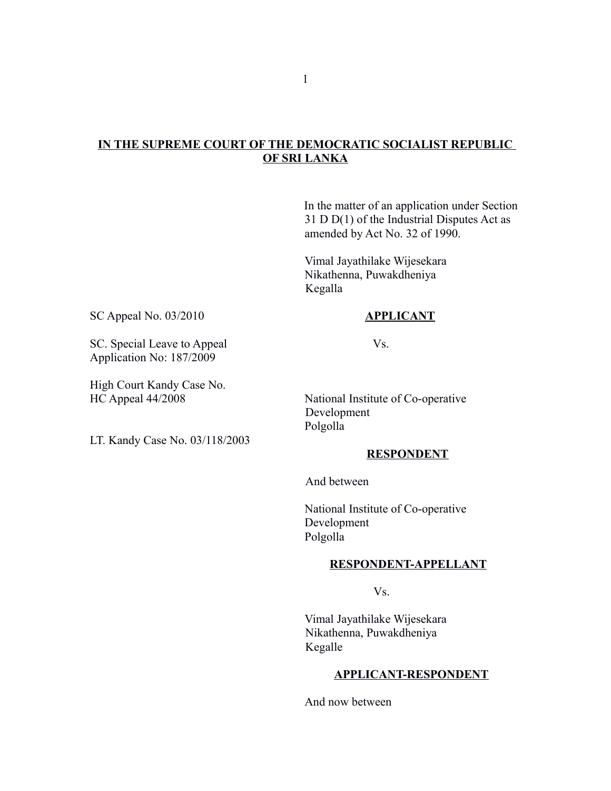# **IN THE SUPREME COURT OF THE DEMOCRATIC SOCIALIST REPUBLIC OF SRI LANKA**

In the matter of an application under Section 31 D D(1) of the Industrial Disputes Act as amended by Act No. 32 of 1990.

Vimal Jayathilake Wijesekara Nikathenna, Puwakdheniya Kegalla

## SC Appeal No. 03/2010 **APPLICANT**

SC. Special Leave to Appeal Vs. Application No: 187/2009

High Court Kandy Case No.

LT. Kandy Case No. 03/118/2003

HC Appeal 44/2008 National Institute of Co-operative Development Polgolla

## **RESPONDENT**

And between

National Institute of Co-operative Development Polgolla

#### **RESPONDENT-APPELLANT**

Vs.

Vimal Jayathilake Wijesekara Nikathenna, Puwakdheniya Kegalle

#### **APPLICANT-RESPONDENT**

And now between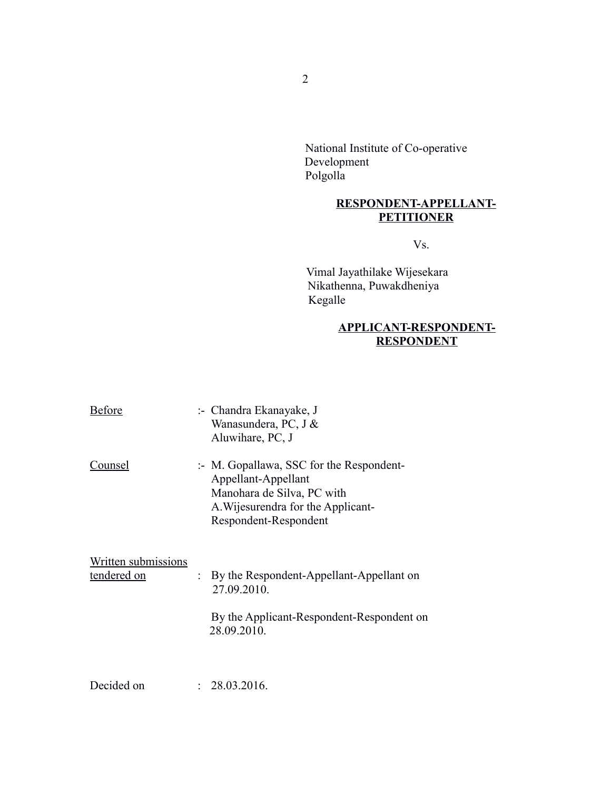National Institute of Co-operative Development Polgolla

# **RESPONDENT-APPELLANT-PETITIONER**

Vs.

Vimal Jayathilake Wijesekara Nikathenna, Puwakdheniya Kegalle

# **APPLICANT-RESPONDENT-RESPONDENT**

| <b>Before</b>                      | :- Chandra Ekanayake, J<br>Wanasundera, PC, J &<br>Aluwihare, PC, J                                                                                          |
|------------------------------------|--------------------------------------------------------------------------------------------------------------------------------------------------------------|
| Counsel                            | :- M. Gopallawa, SSC for the Respondent-<br>Appellant-Appellant<br>Manohara de Silva, PC with<br>A. Wijesurendra for the Applicant-<br>Respondent-Respondent |
| Written submissions<br>tendered on | By the Respondent-Appellant-Appellant on<br>27.09.2010.<br>By the Applicant-Respondent-Respondent on<br>28.09.2010.                                          |
| Decided on                         | 28.03.2016.                                                                                                                                                  |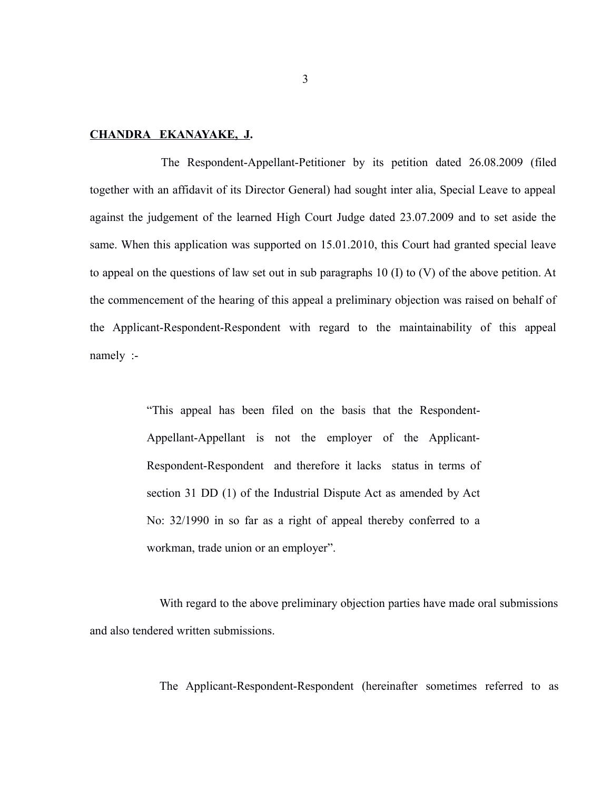### **CHANDRA EKANAYAKE, J.**

The Respondent-Appellant-Petitioner by its petition dated 26.08.2009 (filed together with an affidavit of its Director General) had sought inter alia, Special Leave to appeal against the judgement of the learned High Court Judge dated 23.07.2009 and to set aside the same. When this application was supported on 15.01.2010, this Court had granted special leave to appeal on the questions of law set out in sub paragraphs 10 (I) to (V) of the above petition. At the commencement of the hearing of this appeal a preliminary objection was raised on behalf of the Applicant-Respondent-Respondent with regard to the maintainability of this appeal namely :-

> "This appeal has been filed on the basis that the Respondent-Appellant-Appellant is not the employer of the Applicant-Respondent-Respondent and therefore it lacks status in terms of section 31 DD (1) of the Industrial Dispute Act as amended by Act No: 32/1990 in so far as a right of appeal thereby conferred to a workman, trade union or an employer".

With regard to the above preliminary objection parties have made oral submissions and also tendered written submissions.

The Applicant-Respondent-Respondent (hereinafter sometimes referred to as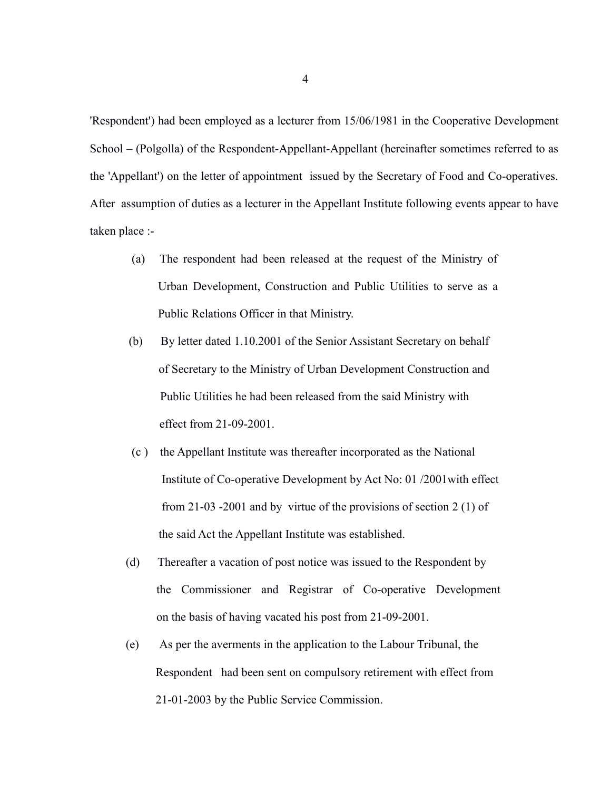'Respondent') had been employed as a lecturer from 15/06/1981 in the Cooperative Development School – (Polgolla) of the Respondent-Appellant-Appellant (hereinafter sometimes referred to as the 'Appellant') on the letter of appointment issued by the Secretary of Food and Co-operatives. After assumption of duties as a lecturer in the Appellant Institute following events appear to have taken place :-

- (a) The respondent had been released at the request of the Ministry of Urban Development, Construction and Public Utilities to serve as a Public Relations Officer in that Ministry.
- (b) By letter dated 1.10.2001 of the Senior Assistant Secretary on behalf of Secretary to the Ministry of Urban Development Construction and Public Utilities he had been released from the said Ministry with effect from 21-09-2001.
- (c ) the Appellant Institute was thereafter incorporated as the National Institute of Co-operative Development by Act No: 01 /2001with effect from 21-03 -2001 and by virtue of the provisions of section 2 (1) of the said Act the Appellant Institute was established.
- (d) Thereafter a vacation of post notice was issued to the Respondent by the Commissioner and Registrar of Co-operative Development on the basis of having vacated his post from 21-09-2001.
- (e) As per the averments in the application to the Labour Tribunal, the Respondent had been sent on compulsory retirement with effect from 21-01-2003 by the Public Service Commission.

4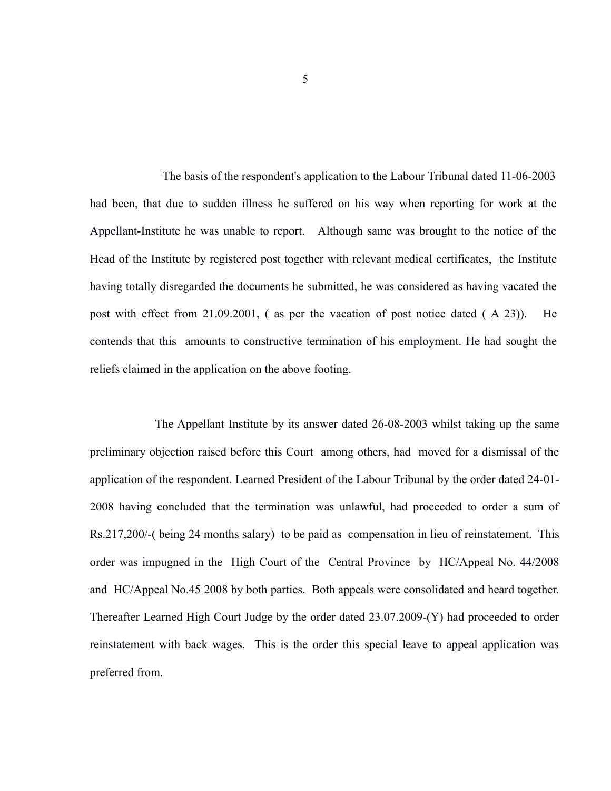The basis of the respondent's application to the Labour Tribunal dated 11-06-2003 had been, that due to sudden illness he suffered on his way when reporting for work at the Appellant-Institute he was unable to report. Although same was brought to the notice of the Head of the Institute by registered post together with relevant medical certificates, the Institute having totally disregarded the documents he submitted, he was considered as having vacated the post with effect from 21.09.2001, ( as per the vacation of post notice dated ( A 23)). He contends that this amounts to constructive termination of his employment. He had sought the reliefs claimed in the application on the above footing.

 The Appellant Institute by its answer dated 26-08-2003 whilst taking up the same preliminary objection raised before this Court among others, had moved for a dismissal of the application of the respondent. Learned President of the Labour Tribunal by the order dated 24-01- 2008 having concluded that the termination was unlawful, had proceeded to order a sum of Rs.217,200/-( being 24 months salary) to be paid as compensation in lieu of reinstatement. This order was impugned in the High Court of the Central Province by HC/Appeal No. 44/2008 and HC/Appeal No.45 2008 by both parties. Both appeals were consolidated and heard together. Thereafter Learned High Court Judge by the order dated 23.07.2009-(Y) had proceeded to order reinstatement with back wages. This is the order this special leave to appeal application was preferred from.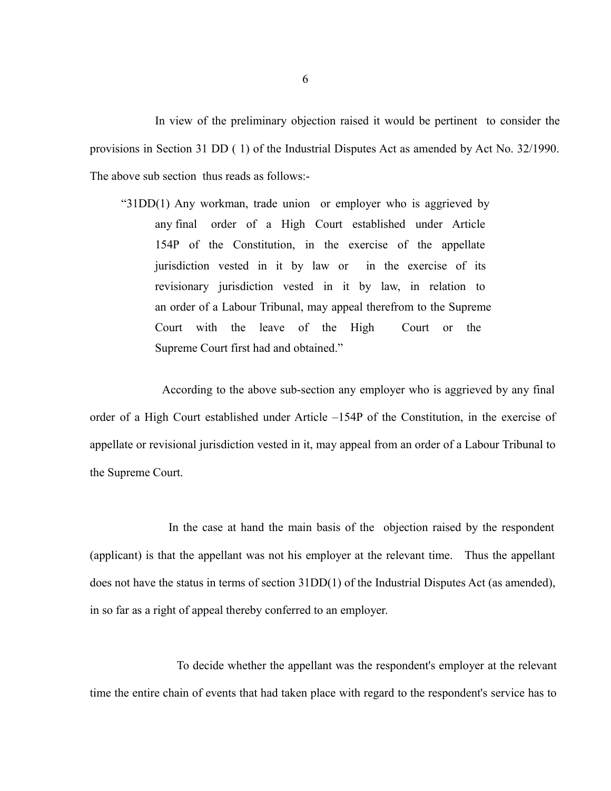In view of the preliminary objection raised it would be pertinent to consider the provisions in Section 31 DD ( 1) of the Industrial Disputes Act as amended by Act No. 32/1990. The above sub section thus reads as follows:-

 "31DD(1) Any workman, trade union or employer who is aggrieved by any final order of a High Court established under Article 154P of the Constitution, in the exercise of the appellate jurisdiction vested in it by law or in the exercise of its revisionary jurisdiction vested in it by law, in relation to an order of a Labour Tribunal, may appeal therefrom to the Supreme Court with the leave of the High Court or the Supreme Court first had and obtained."

 According to the above sub-section any employer who is aggrieved by any final order of a High Court established under Article –154P of the Constitution, in the exercise of appellate or revisional jurisdiction vested in it, may appeal from an order of a Labour Tribunal to the Supreme Court.

 In the case at hand the main basis of the objection raised by the respondent (applicant) is that the appellant was not his employer at the relevant time. Thus the appellant does not have the status in terms of section 31DD(1) of the Industrial Disputes Act (as amended), in so far as a right of appeal thereby conferred to an employer.

 To decide whether the appellant was the respondent's employer at the relevant time the entire chain of events that had taken place with regard to the respondent's service has to